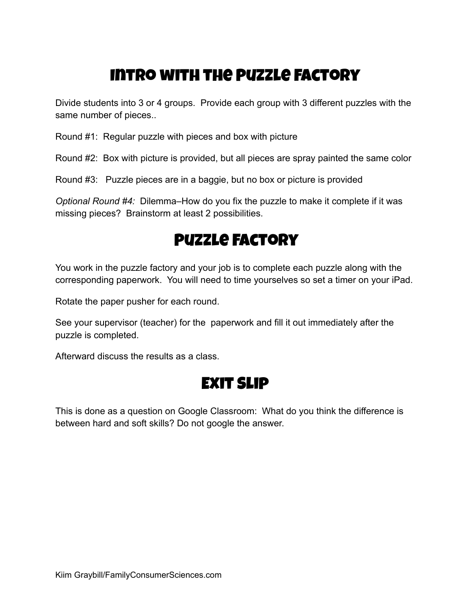### Intro with the Puzzle Factory

Divide students into 3 or 4 groups. Provide each group with 3 different puzzles with the same number of pieces..

Round #1: Regular puzzle with pieces and box with picture

Round #2: Box with picture is provided, but all pieces are spray painted the same color

Round #3: Puzzle pieces are in a baggie, but no box or picture is provided

*Optional Round #4:* Dilemma–How do you fix the puzzle to make it complete if it was missing pieces? Brainstorm at least 2 possibilities.

#### Puzzle Factory

You work in the puzzle factory and your job is to complete each puzzle along with the corresponding paperwork. You will need to time yourselves so set a timer on your iPad.

Rotate the paper pusher for each round.

See your supervisor (teacher) for the paperwork and fill it out immediately after the puzzle is completed.

Afterward discuss the results as a class.

#### Exit Slip

This is done as a question on Google Classroom: What do you think the difference is between hard and soft skills? Do not google the answer.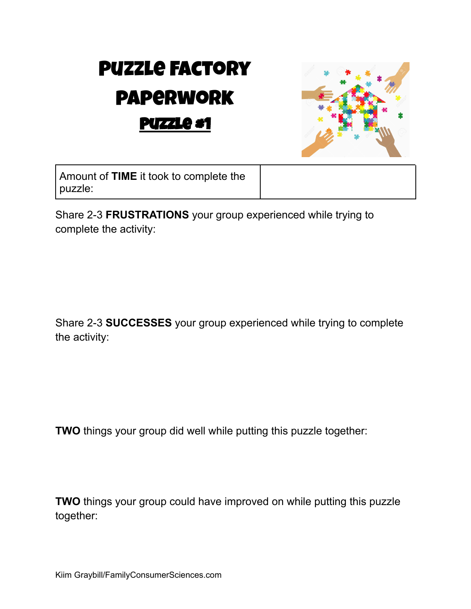# Puzzle Factory paperwork Puzzle #1



Amount of **TIME** it took to complete the puzzle:

Share 2-3 **FRUSTRATIONS** your group experienced while trying to complete the activity:

Share 2-3 **SUCCESSES** your group experienced while trying to complete the activity:

**TWO** things your group did well while putting this puzzle together:

**TWO** things your group could have improved on while putting this puzzle together: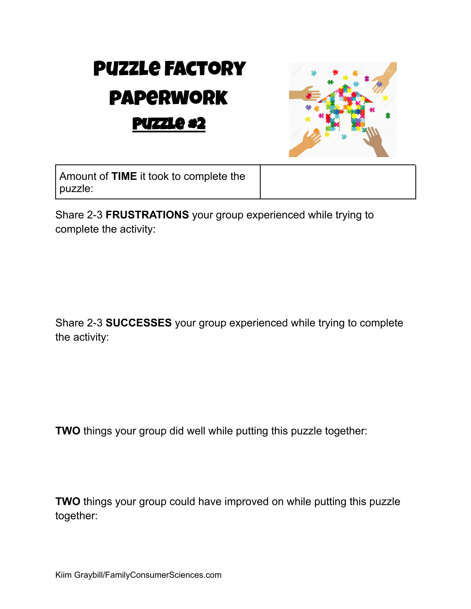# Puzzle Factory paperwork Puzzle #2



Amount of **TIME** it took to complete the puzzle:

Share 2-3 **FRUSTRATIONS** your group experienced while trying to complete the activity:

Share 2-3 **SUCCESSES** your group experienced while trying to complete the activity:

**TWO** things your group did well while putting this puzzle together:

**TWO** things your group could have improved on while putting this puzzle together: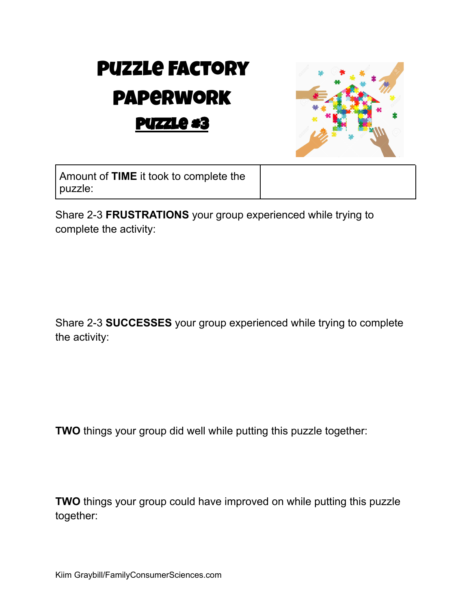# Puzzle Factory paperwork Puzzle #3



Amount of **TIME** it took to complete the puzzle:

Share 2-3 **FRUSTRATIONS** your group experienced while trying to complete the activity:

Share 2-3 **SUCCESSES** your group experienced while trying to complete the activity:

**TWO** things your group did well while putting this puzzle together:

**TWO** things your group could have improved on while putting this puzzle together: